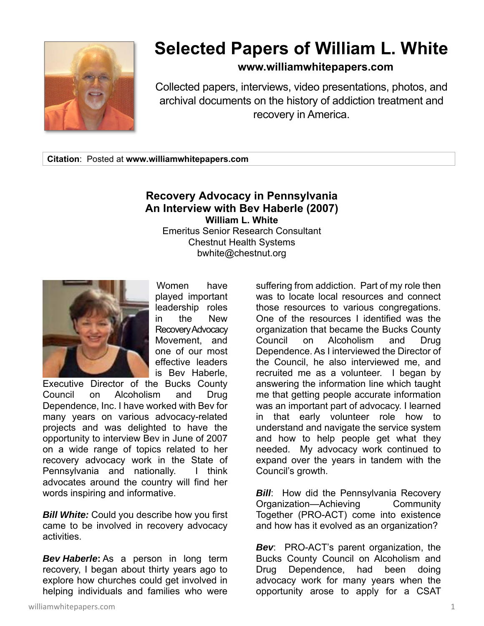

## **Selected Papers of William L. White**

## **www.williamwhitepapers.com**

Collected papers, interviews, video presentations, photos, and archival documents on the history of addiction treatment and recovery in America.

**Citation**: Posted at **www.williamwhitepapers.com** 

## **Recovery Advocacy in Pennsylvania An Interview with Bev Haberle (2007) William L. White**

Emeritus Senior Research Consultant Chestnut Health Systems bwhite@chestnut.org



 Women have played important leadership roles in the New Recovery Advocacy Movement, and one of our most effective leaders is Bev Haberle,

Executive Director of the Bucks County Council on Alcoholism and Drug Dependence, Inc. I have worked with Bev for many years on various advocacy-related projects and was delighted to have the opportunity to interview Bev in June of 2007 on a wide range of topics related to her recovery advocacy work in the State of Pennsylvania and nationally. I think advocates around the country will find her words inspiring and informative.

*Bill White:* Could you describe how you first came to be involved in recovery advocacy activities.

*Bev Haberle***:** As a person in long term recovery, I began about thirty years ago to explore how churches could get involved in helping individuals and families who were

suffering from addiction. Part of my role then was to locate local resources and connect those resources to various congregations. One of the resources I identified was the organization that became the Bucks County Council on Alcoholism and Drug Dependence. As I interviewed the Director of the Council, he also interviewed me, and recruited me as a volunteer. I began by answering the information line which taught me that getting people accurate information was an important part of advocacy. I learned in that early volunteer role how to understand and navigate the service system and how to help people get what they needed. My advocacy work continued to expand over the years in tandem with the Council's growth.

*Bill*: How did the Pennsylvania Recovery Organization—Achieving Community Together (PRO-ACT) come into existence and how has it evolved as an organization?

*Bev*: PRO-ACT's parent organization, the Bucks County Council on Alcoholism and Drug Dependence, had been doing advocacy work for many years when the opportunity arose to apply for a CSAT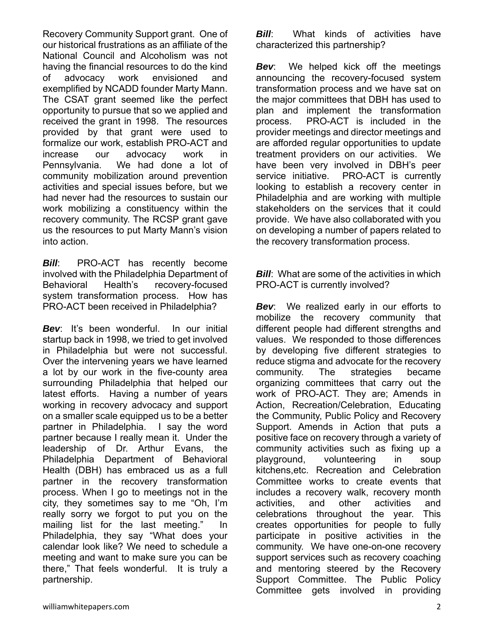Recovery Community Support grant. One of our historical frustrations as an affiliate of the National Council and Alcoholism was not having the financial resources to do the kind of advocacy work envisioned and exemplified by NCADD founder Marty Mann. The CSAT grant seemed like the perfect opportunity to pursue that so we applied and received the grant in 1998. The resources provided by that grant were used to formalize our work, establish PRO-ACT and increase our advocacy work in Pennsylvania. We had done a lot of community mobilization around prevention activities and special issues before, but we had never had the resources to sustain our work mobilizing a constituency within the recovery community. The RCSP grant gave us the resources to put Marty Mann's vision into action.

**Bill:** PRO-ACT has recently become involved with the Philadelphia Department of Behavioral Health's recovery-focused system transformation process. How has PRO-ACT been received in Philadelphia?

*Bev*: It's been wonderful. In our initial startup back in 1998, we tried to get involved in Philadelphia but were not successful. Over the intervening years we have learned a lot by our work in the five-county area surrounding Philadelphia that helped our latest efforts. Having a number of years working in recovery advocacy and support on a smaller scale equipped us to be a better partner in Philadelphia. I say the word partner because I really mean it. Under the leadership of Dr. Arthur Evans, the Philadelphia Department of Behavioral Health (DBH) has embraced us as a full partner in the recovery transformation process. When I go to meetings not in the city, they sometimes say to me "Oh, I'm really sorry we forgot to put you on the mailing list for the last meeting." In Philadelphia, they say "What does your calendar look like? We need to schedule a meeting and want to make sure you can be there," That feels wonderful. It is truly a partnership.

*Bill***:** What kinds of activities have characterized this partnership?

*Bev*: We helped kick off the meetings announcing the recovery-focused system transformation process and we have sat on the major committees that DBH has used to plan and implement the transformation process. PRO-ACT is included in the provider meetings and director meetings and are afforded regular opportunities to update treatment providers on our activities. We have been very involved in DBH's peer service initiative. PRO-ACT is currently looking to establish a recovery center in Philadelphia and are working with multiple stakeholders on the services that it could provide. We have also collaborated with you on developing a number of papers related to the recovery transformation process.

*Bill:* What are some of the activities in which PRO-ACT is currently involved?

*Bev*: We realized early in our efforts to mobilize the recovery community that different people had different strengths and values. We responded to those differences by developing five different strategies to reduce stigma and advocate for the recovery community. The strategies became organizing committees that carry out the work of PRO-ACT. They are; Amends in Action, Recreation/Celebration, Educating the Community, Public Policy and Recovery Support. Amends in Action that puts a positive face on recovery through a variety of community activities such as fixing up a playground, volunteering in soup kitchens,etc. Recreation and Celebration Committee works to create events that includes a recovery walk, recovery month activities, and other activities and celebrations throughout the year. This creates opportunities for people to fully participate in positive activities in the community. We have one-on-one recovery support services such as recovery coaching and mentoring steered by the Recovery Support Committee. The Public Policy Committee gets involved in providing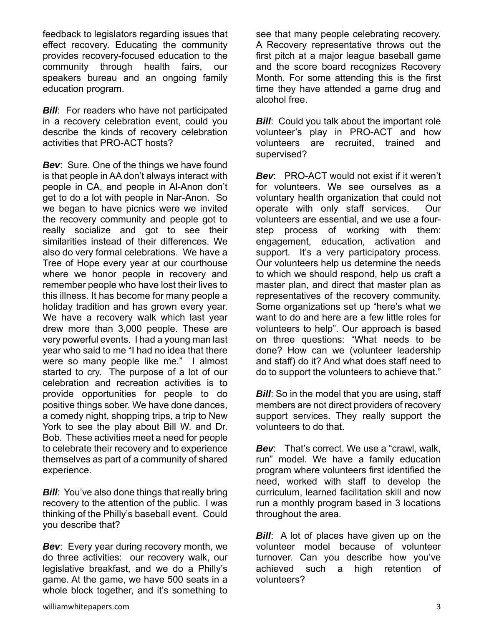feedback to legislators regarding issues that effect recovery. Educating the community provides recovery-focused education to the community through health fairs, our speakers bureau and an ongoing family education program.

*Bill*: For readers who have not participated in a recovery celebration event, could you describe the kinds of recovery celebration activities that PRO-ACT hosts?

**Bev:** Sure. One of the things we have found is that people in AA don't always interact with people in CA, and people in Al-Anon don't get to do a lot with people in Nar-Anon. So we began to have picnics were we invited the recovery community and people got to really socialize and got to see their similarities instead of their differences. We also do very formal celebrations. We have a Tree of Hope every year at our courthouse where we honor people in recovery and remember people who have lost their lives to this illness. It has become for many people a holiday tradition and has grown every year. We have a recovery walk which last year drew more than 3,000 people. These are very powerful events. I had a young man last year who said to me "I had no idea that there were so many people like me." I almost started to cry. The purpose of a lot of our celebration and recreation activities is to provide opportunities for people to do positive things sober. We have done dances, a comedy night, shopping trips, a trip to New York to see the play about Bill W. and Dr. Bob. These activities meet a need for people to celebrate their recovery and to experience themselves as part of a community of shared experience.

*Bill:* You've also done things that really bring recovery to the attention of the public. I was thinking of the Philly's baseball event. Could you describe that?

**Bev:** Every year during recovery month, we do three activities: our recovery walk, our legislative breakfast, and we do a Philly's game. At the game, we have 500 seats in a whole block together, and it's something to see that many people celebrating recovery. A Recovery representative throws out the first pitch at a major league baseball game and the score board recognizes Recovery Month. For some attending this is the first time they have attended a game drug and alcohol free.

**Bill:** Could you talk about the important role volunteer's play in PRO-ACT and how volunteers are recruited, trained and supervised?

*Bev*: PRO-ACT would not exist if it weren't for volunteers. We see ourselves as a voluntary health organization that could not operate with only staff services. Our volunteers are essential, and we use a fourstep process of working with them: engagement, education, activation and support. It's a very participatory process. Our volunteers help us determine the needs to which we should respond, help us craft a master plan, and direct that master plan as representatives of the recovery community. Some organizations set up "here's what we want to do and here are a few little roles for volunteers to help". Our approach is based on three questions: "What needs to be done? How can we (volunteer leadership and staff) do it? And what does staff need to do to support the volunteers to achieve that."

*Bill:* So in the model that you are using, staff members are not direct providers of recovery support services. They really support the volunteers to do that.

*Bev*: That's correct. We use a "crawl, walk, run" model. We have a family education program where volunteers first identified the need, worked with staff to develop the curriculum, learned facilitation skill and now run a monthly program based in 3 locations throughout the area.

*Bill*: A lot of places have given up on the volunteer model because of volunteer turnover. Can you describe how you've achieved such a high retention of volunteers?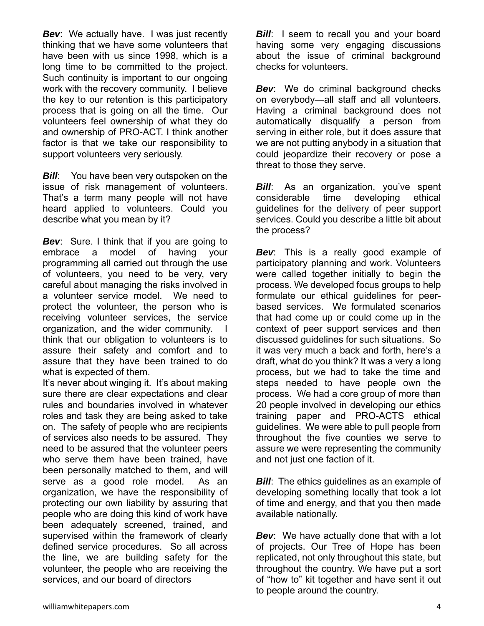**Bev:** We actually have. I was just recently thinking that we have some volunteers that have been with us since 1998, which is a long time to be committed to the project. Such continuity is important to our ongoing work with the recovery community. I believe the key to our retention is this participatory process that is going on all the time. Our volunteers feel ownership of what they do and ownership of PRO-ACT. I think another factor is that we take our responsibility to support volunteers very seriously.

*Bill***:** You have been very outspoken on the issue of risk management of volunteers. That's a term many people will not have heard applied to volunteers. Could you describe what you mean by it?

*Bev*: Sure. I think that if you are going to embrace a model of having your programming all carried out through the use of volunteers, you need to be very, very careful about managing the risks involved in a volunteer service model. We need to protect the volunteer, the person who is receiving volunteer services, the service organization, and the wider community. I think that our obligation to volunteers is to assure their safety and comfort and to assure that they have been trained to do what is expected of them.

It's never about winging it. It's about making sure there are clear expectations and clear rules and boundaries involved in whatever roles and task they are being asked to take on. The safety of people who are recipients of services also needs to be assured. They need to be assured that the volunteer peers who serve them have been trained, have been personally matched to them, and will serve as a good role model. As an organization, we have the responsibility of protecting our own liability by assuring that people who are doing this kind of work have been adequately screened, trained, and supervised within the framework of clearly defined service procedures. So all across the line, we are building safety for the volunteer, the people who are receiving the services, and our board of directors

**Bill:** I seem to recall you and your board having some very engaging discussions about the issue of criminal background checks for volunteers.

**Bev:** We do criminal background checks on everybody—all staff and all volunteers. Having a criminal background does not automatically disqualify a person from serving in either role, but it does assure that we are not putting anybody in a situation that could jeopardize their recovery or pose a threat to those they serve.

*Bill*: As an organization, you've spent considerable time developing ethical guidelines for the delivery of peer support services. Could you describe a little bit about the process?

*Bev*: This is a really good example of participatory planning and work. Volunteers were called together initially to begin the process. We developed focus groups to help formulate our ethical guidelines for peerbased services. We formulated scenarios that had come up or could come up in the context of peer support services and then discussed guidelines for such situations. So it was very much a back and forth, here's a draft, what do you think? It was a very a long process, but we had to take the time and steps needed to have people own the process. We had a core group of more than 20 people involved in developing our ethics training paper and PRO-ACTS ethical guidelines. We were able to pull people from throughout the five counties we serve to assure we were representing the community and not just one faction of it.

*Bill*: The ethics quidelines as an example of developing something locally that took a lot of time and energy, and that you then made available nationally.

*Bev*: We have actually done that with a lot of projects. Our Tree of Hope has been replicated, not only throughout this state, but throughout the country. We have put a sort of "how to" kit together and have sent it out to people around the country.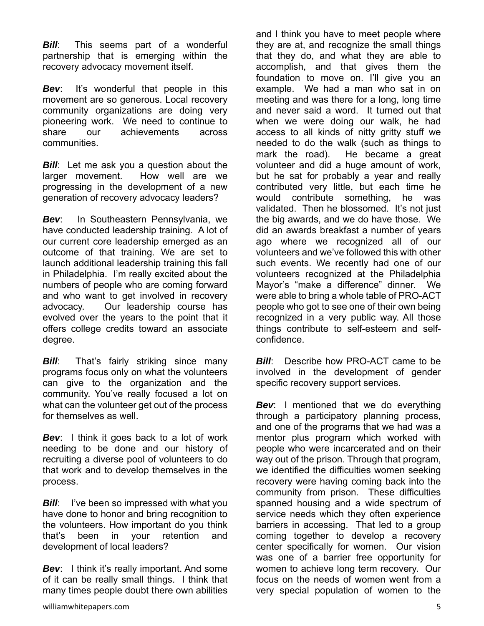**Bill:** This seems part of a wonderful partnership that is emerging within the recovery advocacy movement itself.

*Bev*: It's wonderful that people in this movement are so generous. Local recovery community organizations are doing very pioneering work. We need to continue to share our achievements across communities.

*Bill*: Let me ask you a question about the larger movement. How well are we progressing in the development of a new generation of recovery advocacy leaders?

*Bev*: In Southeastern Pennsylvania, we have conducted leadership training. A lot of our current core leadership emerged as an outcome of that training. We are set to launch additional leadership training this fall in Philadelphia. I'm really excited about the numbers of people who are coming forward and who want to get involved in recovery advocacy. Our leadership course has evolved over the years to the point that it offers college credits toward an associate degree.

*Bill***:** That's fairly striking since many programs focus only on what the volunteers can give to the organization and the community. You've really focused a lot on what can the volunteer get out of the process for themselves as well.

*Bev*: I think it goes back to a lot of work needing to be done and our history of recruiting a diverse pool of volunteers to do that work and to develop themselves in the process.

*Bill*: I've been so impressed with what you have done to honor and bring recognition to the volunteers. How important do you think that's been in your retention and development of local leaders?

**Bev:** I think it's really important. And some of it can be really small things. I think that many times people doubt there own abilities

and I think you have to meet people where they are at, and recognize the small things that they do, and what they are able to accomplish, and that gives them the foundation to move on. I'll give you an example. We had a man who sat in on meeting and was there for a long, long time and never said a word. It turned out that when we were doing our walk, he had access to all kinds of nitty gritty stuff we needed to do the walk (such as things to mark the road). He became a great volunteer and did a huge amount of work, but he sat for probably a year and really contributed very little, but each time he would contribute something, he was validated. Then he blossomed. It's not iust the big awards, and we do have those. We did an awards breakfast a number of years ago where we recognized all of our volunteers and we've followed this with other such events. We recently had one of our volunteers recognized at the Philadelphia Mayor's "make a difference" dinner. We were able to bring a whole table of PRO-ACT people who got to see one of their own being recognized in a very public way. All those things contribute to self-esteem and selfconfidence.

*Bill:* Describe how PRO-ACT came to be involved in the development of gender specific recovery support services.

*Bev*: I mentioned that we do everything through a participatory planning process, and one of the programs that we had was a mentor plus program which worked with people who were incarcerated and on their way out of the prison. Through that program, we identified the difficulties women seeking recovery were having coming back into the community from prison. These difficulties spanned housing and a wide spectrum of service needs which they often experience barriers in accessing. That led to a group coming together to develop a recovery center specifically for women. Our vision was one of a barrier free opportunity for women to achieve long term recovery. Our focus on the needs of women went from a very special population of women to the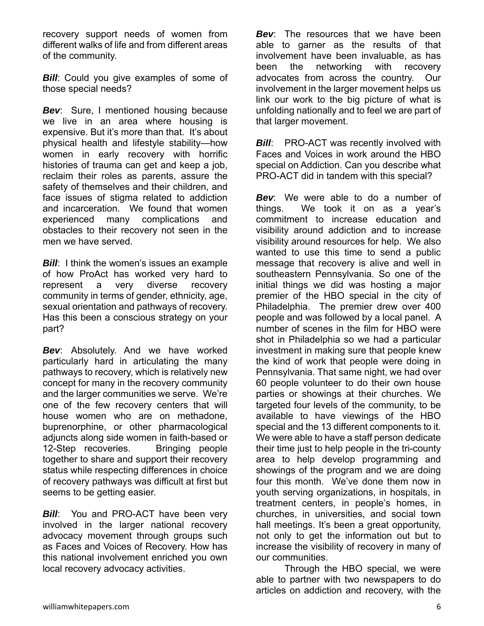recovery support needs of women from different walks of life and from different areas of the community.

**Bill:** Could you give examples of some of those special needs?

*Bev*: Sure, I mentioned housing because we live in an area where housing is expensive. But it's more than that. It's about physical health and lifestyle stability—how women in early recovery with horrific histories of trauma can get and keep a job, reclaim their roles as parents, assure the safety of themselves and their children, and face issues of stigma related to addiction and incarceration. We found that women experienced many complications and obstacles to their recovery not seen in the men we have served.

*Bill:* I think the women's issues an example of how ProAct has worked very hard to represent a very diverse recovery community in terms of gender, ethnicity, age, sexual orientation and pathways of recovery. Has this been a conscious strategy on your part?

*Bev*: Absolutely. And we have worked particularly hard in articulating the many pathways to recovery, which is relatively new concept for many in the recovery community and the larger communities we serve. We're one of the few recovery centers that will house women who are on methadone, buprenorphine, or other pharmacological adjuncts along side women in faith-based or 12-Step recoveries. Bringing people together to share and support their recovery status while respecting differences in choice of recovery pathways was difficult at first but seems to be getting easier.

*Bill***:** You and PRO-ACT have been very involved in the larger national recovery advocacy movement through groups such as Faces and Voices of Recovery. How has this national involvement enriched you own local recovery advocacy activities.

*Bev*: The resources that we have been able to garner as the results of that involvement have been invaluable, as has been the networking with recovery advocates from across the country. Our involvement in the larger movement helps us link our work to the big picture of what is unfolding nationally and to feel we are part of that larger movement.

*Bill:* PRO-ACT was recently involved with Faces and Voices in work around the HBO special on Addiction. Can you describe what PRO-ACT did in tandem with this special?

*Bev*: We were able to do a number of things. We took it on as a year's commitment to increase education and visibility around addiction and to increase visibility around resources for help. We also wanted to use this time to send a public message that recovery is alive and well in southeastern Pennsylvania. So one of the initial things we did was hosting a major premier of the HBO special in the city of Philadelphia. The premier drew over 400 people and was followed by a local panel. A number of scenes in the film for HBO were shot in Philadelphia so we had a particular investment in making sure that people knew the kind of work that people were doing in Pennsylvania. That same night, we had over 60 people volunteer to do their own house parties or showings at their churches. We targeted four levels of the community, to be available to have viewings of the HBO special and the 13 different components to it. We were able to have a staff person dedicate their time just to help people in the tri-county area to help develop programming and showings of the program and we are doing four this month. We've done them now in youth serving organizations, in hospitals, in treatment centers, in people's homes, in churches, in universities, and social town hall meetings. It's been a great opportunity, not only to get the information out but to increase the visibility of recovery in many of our communities.

 Through the HBO special, we were able to partner with two newspapers to do articles on addiction and recovery, with the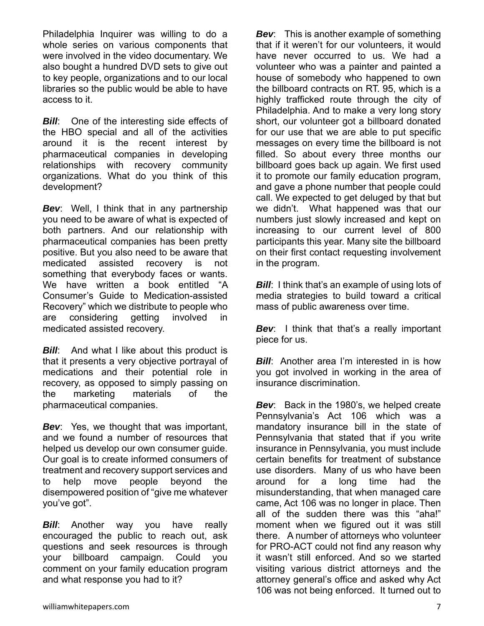Philadelphia Inquirer was willing to do a whole series on various components that were involved in the video documentary. We also bought a hundred DVD sets to give out to key people, organizations and to our local libraries so the public would be able to have access to it.

**Bill:** One of the interesting side effects of the HBO special and all of the activities around it is the recent interest by pharmaceutical companies in developing relationships with recovery community organizations. What do you think of this development?

*Bev*: Well, I think that in any partnership you need to be aware of what is expected of both partners. And our relationship with pharmaceutical companies has been pretty positive. But you also need to be aware that medicated assisted recovery is not something that everybody faces or wants. We have written a book entitled "A Consumer's Guide to Medication-assisted Recovery" which we distribute to people who are considering getting involved in medicated assisted recovery.

*Bill*: And what I like about this product is that it presents a very objective portrayal of medications and their potential role in recovery, as opposed to simply passing on the marketing materials of the pharmaceutical companies.

*Bev*: Yes, we thought that was important, and we found a number of resources that helped us develop our own consumer guide. Our goal is to create informed consumers of treatment and recovery support services and to help move people beyond the disempowered position of "give me whatever you've got".

*Bill*: Another way you have really encouraged the public to reach out, ask questions and seek resources is through your billboard campaign. Could you comment on your family education program and what response you had to it?

*Bev*: This is another example of something that if it weren't for our volunteers, it would have never occurred to us. We had a volunteer who was a painter and painted a house of somebody who happened to own the billboard contracts on RT. 95, which is a highly trafficked route through the city of Philadelphia. And to make a very long story short, our volunteer got a billboard donated for our use that we are able to put specific messages on every time the billboard is not filled. So about every three months our billboard goes back up again. We first used it to promote our family education program, and gave a phone number that people could call. We expected to get deluged by that but we didn't. What happened was that our numbers just slowly increased and kept on increasing to our current level of 800 participants this year. Many site the billboard on their first contact requesting involvement in the program.

*Bill:* I think that's an example of using lots of media strategies to build toward a critical mass of public awareness over time.

*Bev*: I think that that's a really important piece for us.

*Bill:* Another area I'm interested in is how you got involved in working in the area of insurance discrimination.

*Bev*: Back in the 1980's, we helped create Pennsylvania's Act 106 which was a mandatory insurance bill in the state of Pennsylvania that stated that if you write insurance in Pennsylvania, you must include certain benefits for treatment of substance use disorders. Many of us who have been around for a long time had the misunderstanding, that when managed care came, Act 106 was no longer in place. Then all of the sudden there was this "aha!" moment when we figured out it was still there. A number of attorneys who volunteer for PRO-ACT could not find any reason why it wasn't still enforced. And so we started visiting various district attorneys and the attorney general's office and asked why Act 106 was not being enforced. It turned out to